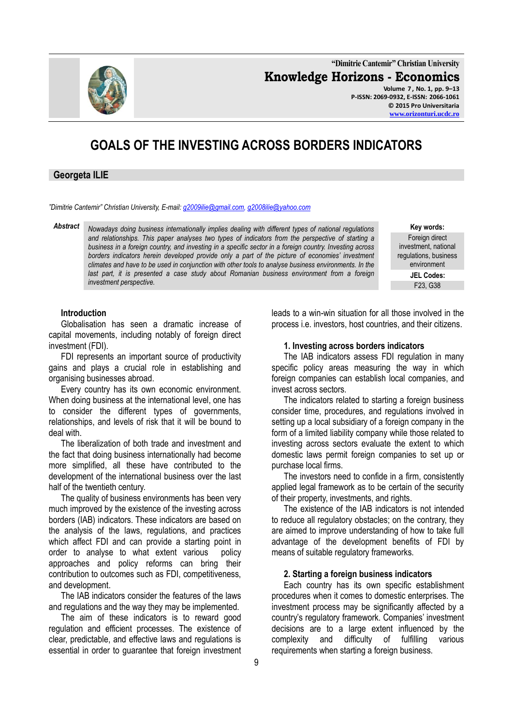

**"Dimitrie Cantemir" Christian University Knowledge Horizons - Economics Volume 7 , No. 1, pp. 9–13 P-ISSN: 2069-0932, E-ISSN: 2066-1061 © 2015 Pro Universitaria**

**[www.orizonturi.ucdc.ro](http://www.orizonturi.ucdc.ro/)**

# **GOALS OF THE INVESTING ACROSS BORDERS INDICATORS**

# **Georgeta ILIE**

*"Dimitrie Cantemir" Christian University, E-mail: [g2009ilie@gmail.com,](mailto:g2009ilie@gmail.com) [g2008ilie@yahoo.com](mailto:g2008ilie@yahoo.com)*

*Abstract Nowadays doing business internationally implies dealing with different types of national regulations and relationships. This paper analyses two types of indicators from the perspective of starting a business in a foreign country, and investing in a specific sector in a foreign country. Investing across borders indicators herein developed provide only a part of the picture of economies' investment climates and have to be used in conjunction with other tools to analyse business environments. In the last part, it is presented a case study about Romanian business environment from a foreign investment perspective.*

**Key words:** Foreign direct investment, national regulations, business environment **JEL Codes:**

F23, G38

#### **Introduction**

Globalisation has seen a dramatic increase of capital movements, including notably of foreign direct investment (FDI).

FDI represents an important source of productivity gains and plays a crucial role in establishing and organising businesses abroad.

Every country has its own economic environment. When doing business at the international level, one has to consider the different types of governments, relationships, and levels of risk that it will be bound to deal with.

The liberalization of both trade and investment and the fact that doing business internationally had become more simplified, all these have contributed to the development of the international business over the last half of the twentieth century.

The quality of business environments has been very much improved by the existence of the investing across borders (IAB) indicators. These indicators are based on the analysis of the laws, regulations, and practices which affect FDI and can provide a starting point in order to analyse to what extent various policy approaches and policy reforms can bring their contribution to outcomes such as FDI, competitiveness, and development.

The IAB indicators consider the features of the laws and regulations and the way they may be implemented.

The aim of these indicators is to reward good regulation and efficient processes. The existence of clear, predictable, and effective laws and regulations is essential in order to guarantee that foreign investment leads to a win-win situation for all those involved in the process i.e. investors, host countries, and their citizens.

#### **1. Investing across borders indicators**

The IAB indicators assess FDI regulation in many specific policy areas measuring the way in which foreign companies can establish local companies, and invest across sectors.

The indicators related to starting a foreign business consider time, procedures, and regulations involved in setting up a local subsidiary of a foreign company in the form of a limited liability company while those related to investing across sectors evaluate the extent to which domestic laws permit foreign companies to set up or purchase local firms.

The investors need to confide in a firm, consistently applied legal framework as to be certain of the security of their property, investments, and rights.

The existence of the IAB indicators is not intended to reduce all regulatory obstacles; on the contrary, they are aimed to improve understanding of how to take full advantage of the development benefits of FDI by means of suitable regulatory frameworks.

#### **2. Starting a foreign business indicators**

Each country has its own specific establishment procedures when it comes to domestic enterprises. The investment process may be significantly affected by a country's regulatory framework. Companies' investment decisions are to a large extent influenced by the complexity and difficulty of fulfilling various requirements when starting a foreign business.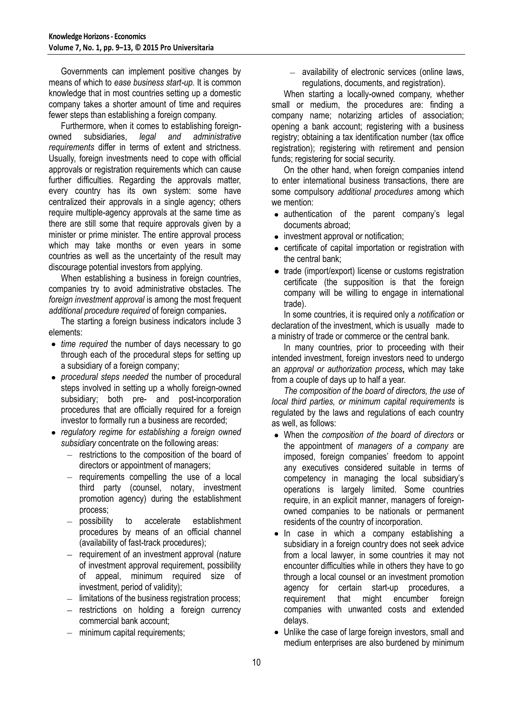Governments can implement positive changes by means of which to *ease business start-up.* It is common knowledge that in most countries setting up a domestic company takes a shorter amount of time and requires fewer steps than establishing a foreign company.

Furthermore, when it comes to establishing foreignowned subsidiaries, *legal and administrative requirements* differ in terms of extent and strictness. Usually, foreign investments need to cope with official approvals or registration requirements which can cause further difficulties. Regarding the approvals matter, every country has its own system: some have centralized their approvals in a single agency; others require multiple-agency approvals at the same time as there are still some that require approvals given by a minister or prime minister. The entire approval process which may take months or even years in some countries as well as the uncertainty of the result may discourage potential investors from applying.

When establishing a business in foreign countries, companies try to avoid administrative obstacles. The *foreign investment approval* is among the most frequent *additional procedure required* of foreign companies**.**

The starting a foreign business indicators include 3 elements:

- *time required* the number of days necessary to go through each of the procedural steps for setting up a subsidiary of a foreign company;
- *procedural steps needed* the number of procedural steps involved in setting up a wholly foreign-owned subsidiary; both pre- and post-incorporation procedures that are officially required for a foreign investor to formally run a business are recorded;
- *regulatory regime for establishing a foreign owned subsidiary* concentrate on the following areas:
	- $-$  restrictions to the composition of the board of directors or appointment of managers;
	- requirements compelling the use of a local  $\equiv$ third party (counsel, notary, investment promotion agency) during the establishment process;
	- possibility to accelerate establishment procedures by means of an official channel (availability of fast-track procedures);
	- $-$  requirement of an investment approval (nature of investment approval requirement, possibility of appeal, minimum required size of investment, period of validity);
	- limitations of the business registration process;
	- restrictions on holding a foreign currency commercial bank account;
	- $-$  minimum capital requirements;

- availability of electronic services (online laws, regulations, documents, and registration).

When starting a locally-owned company, whether small or medium, the procedures are: finding a company name; notarizing articles of association; opening a bank account; registering with a business registry; obtaining a tax identification number (tax office registration); registering with retirement and pension funds; registering for social security.

On the other hand, when foreign companies intend to enter international business transactions, there are some compulsory *additional procedures* among which we mention:

- authentication of the parent company's legal documents abroad;
- investment approval or notification:
- certificate of capital importation or registration with the central bank;
- trade (import/export) license or customs registration certificate (the supposition is that the foreign company will be willing to engage in international trade).

In some countries, it is required only a *notification* or declaration of the investment, which is usually made to a ministry of trade or commerce or the central bank.

In many countries, prior to proceeding with their intended investment, foreign investors need to undergo an *approval or authorization process***,** which may take from a couple of days up to half a year.

*The composition of the board of directors, the use of local third parties, or minimum capital requirements* is regulated by the laws and regulations of each country as well, as follows:

- When the *composition of the board of directors* or the appointment of *managers of a company* are imposed, foreign companies' freedom to appoint any executives considered suitable in terms of competency in managing the local subsidiary's operations is largely limited. Some countries require, in an explicit manner, managers of foreignowned companies to be nationals or permanent residents of the country of incorporation.
- In case in which a company establishing a subsidiary in a foreign country does not seek advice from a local lawyer, in some countries it may not encounter difficulties while in others they have to go through a local counsel or an investment promotion agency for certain start-up procedures, a requirement that might encumber foreign companies with unwanted costs and extended delays.
- Unlike the case of large foreign investors, small and medium enterprises are also burdened by minimum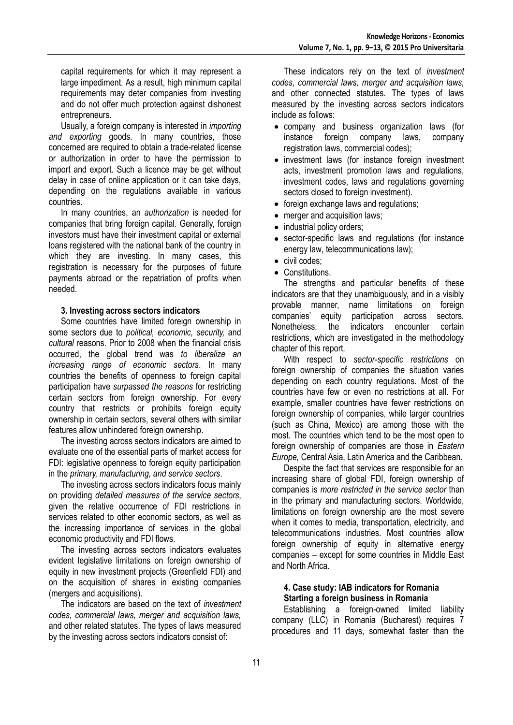capital requirements for which it may represent a large impediment. As a result, high minimum capital requirements may deter companies from investing and do not offer much protection against dishonest entrepreneurs.

Usually, a foreign company is interested in *importing and exporting* goods. In many countries, those concerned are required to obtain a trade-related license or authorization in order to have the permission to import and export. Such a licence may be get without delay in case of online application or it can take days, depending on the regulations available in various countries.

In many countries, an *authorization* is needed for companies that bring foreign capital. Generally, foreign investors must have their investment capital or external loans registered with the national bank of the country in which they are investing. In many cases, this registration is necessary for the purposes of future payments abroad or the repatriation of profits when needed.

#### **3. Investing across sectors indicators**

Some countries have limited foreign ownership in some sectors due to *political, economic, security,* and *cultural* reasons. Prior to 2008 when the financial crisis occurred, the global trend was *to liberalize an increasing range of economic sectors*. In many countries the benefits of openness to foreign capital participation have *surpassed the reasons* for restricting certain sectors from foreign ownership. For every country that restricts or prohibits foreign equity ownership in certain sectors, several others with similar features allow unhindered foreign ownership.

The investing across sectors indicators are aimed to evaluate one of the essential parts of market access for FDI: legislative openness to foreign equity participation in the *primary, manufacturing, and service sectors*.

The investing across sectors indicators focus mainly on providing *detailed measures of the service sectors*, given the relative occurrence of FDI restrictions in services related to other economic sectors, as well as the increasing importance of services in the global economic productivity and FDI flows.

The investing across sectors indicators evaluates evident legislative limitations on foreign ownership of equity in new investment projects (Greenfield FDI) and on the acquisition of shares in existing companies (mergers and acquisitions).

The indicators are based on the text of *investment codes, commercial laws, merger and acquisition laws,* and other related statutes. The types of laws measured by the investing across sectors indicators consist of:

These indicators rely on the text of *investment codes, commercial laws, merger and acquisition laws,* and other connected statutes. The types of laws measured by the investing across sectors indicators include as follows:

- company and business organization laws (for instance foreign company laws, company registration laws, commercial codes);
- investment laws (for instance foreign investment acts, investment promotion laws and regulations, investment codes, laws and regulations governing sectors closed to foreign investment).
- foreign exchange laws and regulations;
- merger and acquisition laws;
- industrial policy orders;
- sector-specific laws and regulations (for instance energy law, telecommunications law);
- civil codes:
- Constitutions.

The strengths and particular benefits of these indicators are that they unambiguously, and in a visibly provable manner, name limitations on foreign companies' equity participation across sectors. Nonetheless, the indicators encounter certain restrictions, which are investigated in the methodology chapter of this report.

With respect to *sector-specific restrictions* on foreign ownership of companies the situation varies depending on each country regulations. Most of the countries have few or even no restrictions at all. For example, smaller countries have fewer restrictions on foreign ownership of companies, while larger countries (such as China, Mexico) are among those with the most. The countries which tend to be the most open to foreign ownership of companies are those in *Eastern Europe,* Central Asia, Latin America and the Caribbean.

Despite the fact that services are responsible for an increasing share of global FDI, foreign ownership of companies is *more restricted in the service sector* than in the primary and manufacturing sectors. Worldwide, limitations on foreign ownership are the most severe when it comes to media, transportation, electricity, and telecommunications industries. Most countries allow foreign ownership of equity in alternative energy companies – except for some countries in Middle East and North Africa.

## **4. Case study: IAB indicators for Romania Starting a foreign business in Romania**

Establishing a foreign-owned limited liability company (LLC) in Romania (Bucharest) requires 7 procedures and 11 days, somewhat faster than the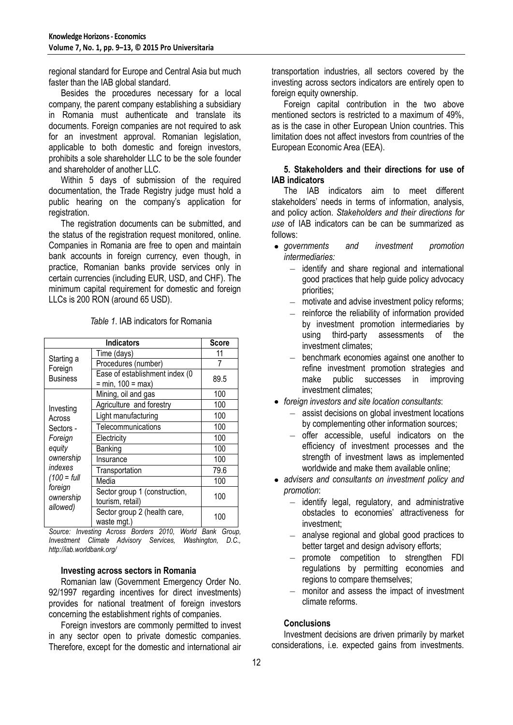regional standard for Europe and Central Asia but much faster than the IAB global standard.

Besides the procedures necessary for a local company, the parent company establishing a subsidiary in Romania must authenticate and translate its documents. Foreign companies are not required to ask for an investment approval. Romanian legislation, applicable to both domestic and foreign investors, prohibits a sole shareholder LLC to be the sole founder and shareholder of another LLC.

Within 5 days of submission of the required documentation, the Trade Registry judge must hold a public hearing on the company's application for registration.

The registration documents can be submitted, and the status of the registration request monitored, online. Companies in Romania are free to open and maintain bank accounts in foreign currency, even though, in practice, Romanian banks provide services only in certain currencies (including EUR, USD, and CHF). The minimum capital requirement for domestic and foreign LLCs is 200 RON (around 65 USD).

| <b>Indicators</b>                                                                                                                  |                                                                                   | <b>Score</b> |
|------------------------------------------------------------------------------------------------------------------------------------|-----------------------------------------------------------------------------------|--------------|
| Starting a<br>Foreign<br><b>Business</b>                                                                                           | Time (days)                                                                       | 11           |
|                                                                                                                                    | Procedures (number)                                                               |              |
|                                                                                                                                    | Ease of establishment index (0<br>$= min, 100 = max$                              | 89.5         |
| Investing<br>Across<br>Sectors -<br>Foreign<br>equity<br>ownership<br>indexes<br>$(100 = full$<br>foreign<br>ownership<br>allowed) | Mining, oil and gas                                                               | 100          |
|                                                                                                                                    | Agriculture and forestry                                                          | 100          |
|                                                                                                                                    | Light manufacturing                                                               | 100          |
|                                                                                                                                    | Telecommunications                                                                | 100          |
|                                                                                                                                    | Electricity                                                                       | 100          |
|                                                                                                                                    | Banking                                                                           | 100          |
|                                                                                                                                    | Insurance                                                                         | 100          |
|                                                                                                                                    | Transportation                                                                    | 79.6         |
|                                                                                                                                    | Media                                                                             | 100          |
|                                                                                                                                    | Sector group 1 (construction,<br>tourism, retail)                                 | 100          |
|                                                                                                                                    | Sector group 2 (health care,<br>waste mgt.)<br>$\sim$ $\sim$ $\sim$ $\sim$ $\sim$ | 100          |

*Table 1*. IAB indicators for Romania

*Source: Investing Across Borders 2010, World Bank Group, Investment Climate Advisory Services, Washington, D.C., http://iab.worldbank.org/*

### **Investing across sectors in Romania**

Romanian law (Government Emergency Order No. 92/1997 regarding incentives for direct investments) provides for national treatment of foreign investors concerning the establishment rights of companies.

Foreign investors are commonly permitted to invest in any sector open to private domestic companies. Therefore, except for the domestic and international air transportation industries, all sectors covered by the investing across sectors indicators are entirely open to foreign equity ownership.

Foreign capital contribution in the two above mentioned sectors is restricted to a maximum of 49%, as is the case in other European Union countries. This limitation does not affect investors from countries of the European Economic Area (EEA).

## **5. Stakeholders and their directions for use of IAB indicators**

The IAB indicators aim to meet different stakeholders' needs in terms of information, analysis, and policy action. *Stakeholders and their directions for use* of IAB indicators can be can be summarized as follows:

- *governments and investment promotion intermediaries:*
	- $-$  identify and share regional and international good practices that help guide policy advocacy priorities;
	- motivate and advise investment policy reforms;  $\equiv$
	- $-$  reinforce the reliability of information provided by investment promotion intermediaries by using third-party assessments of the investment climates;
	- benchmark economies against one another to refine investment promotion strategies and make public successes in improving investment climates;
- *foreign investors and site location consultants*:
	- assist decisions on global investment locations by complementing other information sources;
	- offer accessible, useful indicators on the  $\equiv$ efficiency of investment processes and the strength of investment laws as implemented worldwide and make them available online;
- *advisers and consultants on investment policy and promotion*:
	- identify legal, regulatory, and administrative obstacles to economies' attractiveness for investment;
	- analyse regional and global good practices to better target and design advisory efforts;
	- promote competition to strengthen FDI  $\equiv$ regulations by permitting economies and regions to compare themselves;
	- monitor and assess the impact of investment  $\sim$ climate reforms.

# **Conclusions**

Investment decisions are driven primarily by market considerations, i.e. expected gains from investments.